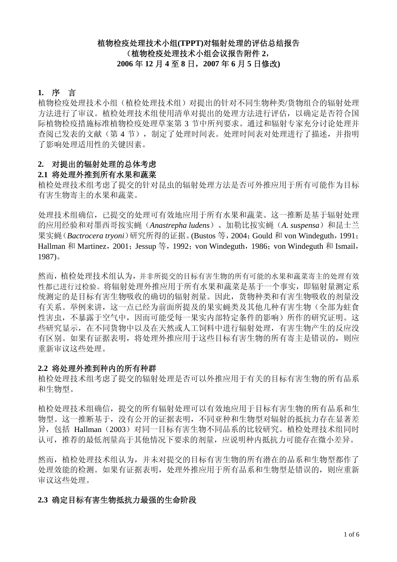# 植物检疫处理技术小组**(TPPT)**对辐射处理的评估总结报告 (植物检疫处理技术小组会议报告附件 **2**, **2006** 年 **12** 月 **4** 至 **8** 日,**2007** 年 **6** 月 **5** 日修改**)**

# **1.** 序言

植物检疫处理技术小组(植检处理技术组)对提出的针对不同生物种类/货物组合的辐射处理 方法进行了审议。植检处理技术组使用清单对提出的处理方法进行评估,以确定是否符合国 际植物检疫措施标准植物检疫处理草案第 3 节中所列要求。通过和辐射专家充分讨论处理并 查阅已发表的文献(第 4 节),制定了处理时间表。处理时间表对处理进行了描述,并指明 了影响处理适用性的关键因素。

# **2.** 对提出的辐射处理的总体考虑

#### **2.1** 将处理外推到所有水果和蔬菜

植检处理技术组考虑了提交的针对昆虫的辐射处理方法是否可外推应用于所有可能作为目标 有害生物寄主的水果和蔬菜。

处理技术组确信,已提交的处理可有效地应用于所有水果和蔬菜。这一推断是基于辐射处理 的应用经验和对墨西哥按实蝇(Anastrepha ludens)、加勒比按实蝇(A. suspensa)和昆士兰 果实蝇(*Bactrocera tryoni*)研究所得的证据。(Bustos 等,2004;Gould 和 von Windeguth,1991; Hallman 和 Martinez, 2001; Jessup 等, 1992; von Windeguth, 1986; von Windeguth 和 Ismail, 1987)。

然而,植检处理技术组认为,并非所提交的目标有害生物的所有可能的水果和蔬菜寄主的处理有效 性都已进行过检验。将辐射处理外推应用于所有水果和蔬菜是基于一个事实,即辐射量测定系 统测定的是目标有害生物吸收的确切的辐射剂量。因此,货物种类和有害生物吸收的剂量没 有关系。举例来讲,这一点已经为前面所提及的果实蝇类及其他几种有害生物(全部为蛀食 性害虫,不暴露于空气中,因而可能受每一果实内部特定条件的影响)所作的研究证明。这 些研究显示,在不同货物中以及在天然或人工饲料中进行辐射处理,有害生物产生的反应没 有区别。如果有证据表明,将处理外推应用于这些目标有害生物的所有寄主是错误的,则应 重新审议这些处理。

#### **2.2** 将处理外推到种内的所有种群

植检处理技术组考虑了提交的辐射处理是否可以外推应用于有关的目标有害生物的所有品系 和生物型。

植检处理技术组确信,提交的所有辐射处理可以有效地应用于目标有害生物的所有品系和生 物型。这一推断基于,没有公开的证据表明,不同亚种和生物型对辐射的抵抗力存在显著差 异,包括 Hallman(2003)对同一目标有害生物不同品系的比较研究。植检处理技术组同时 认可,推荐的最低剂量高于其他情况下要求的剂量,应说明种内抵抗力可能存在微小差异。

然而,植检处理技术组认为,并未对提交的目标有害生物的所有潜在的品系和生物型都作了 处理效能的检测。如果有证据表明,处理外推应用于所有品系和生物型是错误的,则应重新 审议这些处理。

# **2.3** 确定目标有害生物抵抗力最强的生命阶段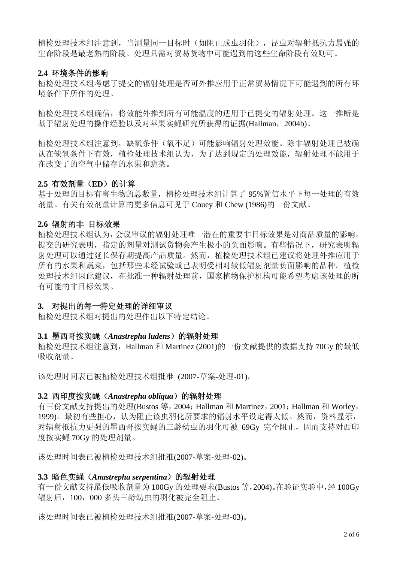植检处理技术组注意到,当测量同一目标时(如阻止成虫羽化),昆虫对辐射抵抗力最强的 生命阶段是最老熟的阶段。处理只需对贸易货物中可能遇到的这些生命阶段有效则可。

# **2.4** 环境条件的影响

植检处理技术组考虑了提交的辐射处理是否可外推应用于正常贸易情况下可能遇到的所有环 境条件下所作的处理。

植检处理技术组确信,将效能外推到所有可能温度的适用于已提交的辐射处理。这一推断是 基于辐射处理的操作经验以及对苹果实蝇研究所获得的证据(Hallman,2004b)。

植检处理技术组注意到,缺氧条件(氧不足)可能影响辐射处理效能。除非辐射处理已被确 认在缺氧条件下有效,植检处理技术组认为,为了达到规定的处理效能,辐射处理不能用于 在改变了的空气中储存的水果和蔬菜。

# **2.5** 有效剂量(**ED**)的计算

基于处理的目标有害生物的总数量,植检处理技术组计算了 95%置信水平下每一处理的有效 剂量。有关有效剂量计算的更多信息可见于 Couey 和 Chew (1986)的一份文献。

# **2.6** 辐射的非 目标效果

植检处理技术组认为,会议审议的辐射处理唯一潜在的重要非目标效果是对商品质量的影响。 提交的研究表明,指定的剂量对测试货物会产生极小的负面影响。有些情况下,研究表明辐 射处理可以通过延长保存期提高产品质量。然而,植检处理技术组已建议将处理外推应用于 所有的水果和蔬菜,包括那些未经试验或已表明受相对较低辐射剂量负面影响的品种。植检 处理技术组因此建议,在批准一种辐射处理前,国家植物保护机构可能希望考虑该处理的所 有可能的非目标效果。

# **3.** 对提出的每一特定处理的详细审议

植检处理技术组对提出的处理作出以下特定结论。

# **3.1** 墨西哥按实蝇(*Anastrepha ludens*)的辐射处理

植检处理技术组注意到,Hallman 和 Martinez (2001)的一份文献提供的数据支持 70Gy 的最低 吸收剂量。

该处理时间表已被植检处理技术组批准 (2007-草案-处理-01)。

# **3.2** 西印度按实蝇(*Anastrepha obliqua*)的辐射处理

有三份文献支持提出的处理(Bustos 等,2004;Hallman 和 Martinez,2001;Hallman 和 Worley, 1999)。最初有些担心,认为阻止该虫羽化所要求的辐射水平设定得太低。然而,资料显示, 对辐射抵抗力更强的墨西哥按实蝇的三龄幼虫的羽化可被 69Gv 完全阻止,因而支持对西印 度按实蝇 70Gy 的处理剂量。

该处理时间表已被植检处理技术组批准(2007-草案-处理-02)。

# **3.3** 暗色实蝇(*Anastrepha serpentina*)的辐射处理

有一份文献支持最低吸收剂量为 100Gy 的处理要求(Bustos 等,2004)。在验证实验中,经 100Gy 辐射后,100,000 多头三龄幼虫的羽化被完全阻止。

该处理时间表已被植检处理技术组批准(2007-草案-处理-03)。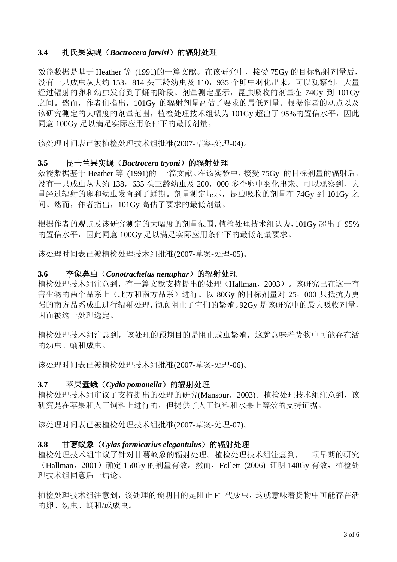# **3.4** 扎氏果实蝇(*Bactrocera jarvisi*)的辐射处理

效能数据是基于 Heather 等 (1991)的一篇文献。在该研究中,接受 75Gy 的目标辐射剂量后, 没有一只成虫从大约 153, 814 头三龄幼虫及 110, 935 个卵中羽化出来。可以观察到,大量 经过辐射的卵和幼虫发育到了蛹的阶段。剂量测定显示,昆虫吸收的剂量在 74Gy 到 101Gy 之间。然而,作者们指出,101Gy 的辐射剂量高估了要求的最低剂量。根据作者的观点以及 该研究测定的大幅度的剂量范围, 植检处理技术组认为 101Gv 超出了 95%的置信水平, 因此 同意 100Gy 足以满足实际应用条件下的最低剂量。

该处理时间表已被植检处理技术组批准(2007-草案-处理-04)。

# **3.5** 昆士兰果实蝇(*Bactrocera tryoni*)的辐射处理

效能数据基于 Heather 等 (1991)的 一篇文献。在该实验中,接受 75Gy 的目标剂量的辐射后, 没有一只成虫从大约 138, 635 头三龄幼虫及 200, 000 多个卵中羽化出来。可以观察到,大 量经过辐射的卵和幼虫发育到了蛹期。剂量测定显示,昆虫吸收的剂量在 74Gy 到 101Gy 之 间。然而,作者指出,101Gy 高估了要求的最低剂量。

根据作者的观点及该研究测定的大幅度的剂量范围,植检处理技术组认为,101Gy 超出了 95% 的置信水平,因此同意 100Gy 足以满足实际应用条件下的最低剂量要求。

该处理时间表已被植检处理技术组批准(2007-草案-处理-05)。

#### **3.6** 李象鼻虫(*Conotrachelus nenuphar*)的辐射处理

植检处理技术组注意到,有一篇文献支持提出的处理(Hallman,2003)。该研究已在这一有 害生物的两个品系上(北方和南方品系)进行。以 80Gy 的目标剂量对 25,000 只抵抗力更 强的南方品系成虫进行辐射处理,彻底阻止了它们的繁殖。92Gy 是该研究中的最大吸收剂量, 因而被这一处理选定。

植检处理技术组注意到,该处理的预期目的是阻止成虫繁殖,这就意味着货物中可能存在活 的幼虫、蛹和成虫。

该处理时间表已被植检处理技术组批准(2007-草案-处理-06)。

# **3.7** 苹果蠹蛾(*Cydia pomonella*)的辐射处理

植检处理技术组审议了支持提出的处理的研究(Mansour, 2003)。植检处理技术组注意到,该 研究是在苹果和人工饲料上进行的,但提供了人工饲料和水果上等效的支持证据。

该处理时间表已被植检处理技术组批准(2007-草案-处理-07)。

# **3.8** 甘薯蚁象(*Cylas formicarius elegantulus*)的辐射处理

植检处理技术组审议了针对甘薯蚁象的辐射处理。植检处理技术组注意到,一项早期的研究 (Hallman,2001)确定 150Gy 的剂量有效。然而,Follett (2006) 证明 140Gy 有效,植检处 理技术组同意后一结论。

植检处理技术组注意到,该处理的预期目的是阻止 F1 代成虫,这就意味着货物中可能存在活 的卵、幼虫、蛹和/或成虫。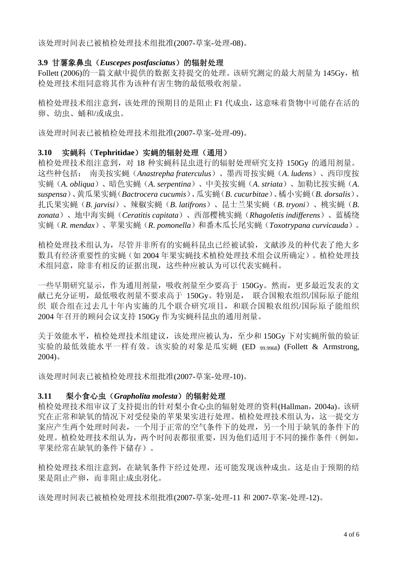该处理时间表已被植检处理技术组批准(2007-草案-处理-08)。

# **3.9** 甘薯象鼻虫(*Euscepes postfasciatus*)的辐射处理

Follett (2006)的一篇文献中提供的数据支持提交的处理。该研究测定的最大剂量为 145Gy, 植 检处理技术组同意将其作为该种有害生物的最低吸收剂量。

植检处理技术组注意到,该处理的预期目的是阻止 F1 代成虫,这意味着货物中可能存在活的 卵、幼虫、蛹和/或成虫。

该处理时间表已被植检处理技术组批准(2007-草案-处理-09)。

# **3.10** 实蝇科(**Tephritidae**)实蝇的辐射处理(通用)

植检处理技术组注意到,对 18 种实蝇科昆虫进行的辐射处理研究支持 150Gy 的通用剂量。 这些种包括: 南美按实蝇(*Anastrepha fraterculus*)、墨西哥按实蝇(*A*. *ludens*)、西印度按 实蝇(*A. obliqua*)、暗色实蝇(*A*. *serpentina*)、中美按实蝇(*A*. *striata*)、加勒比按实蝇(*A*. *suspensa*)、黄瓜果实蝇(*Bactrocera cucumis*)、瓜实蝇(*B*. *cucurbitae*)、橘小实蝇(*B. dorsalis*)、 扎氏果实蝇(*B*. *jarvisi*)、辣椒实蝇(*B*. *latifrons*)、昆士兰果实蝇(*B*. *tryoni*)、桃实蝇(*B*. *zonata*)、地中海实蝇(*Ceratitis capitata*)、西部樱桃实蝇(*Rhagoletis indifferens*)、蓝橘绕 实蝇(*R*. *mendax*)、苹果实蝇(*R*. *pomonella*)和番木瓜长尾实蝇(*Toxotrypana curvicauda*)。

植检处理技术组认为,尽管并非所有的实蝇科昆虫已经被试验,文献涉及的种代表了绝大多 数具有经济重要性的实蝇(如 2004 年果实蝇技术植检处理技术组会议所确定)。植检处理技 术组同意,除非有相反的证据出现,这些种应被认为可以代表实蝇科。

一些早期研究显示,作为通用剂量,吸收剂量至少要高于 150Gy。然而,更多最近发表的文 献已充分证明, 最低吸收剂量不要求高于 150Gv。特别是, 联合国粮农组织/国际原子能组 织 联合组在过去几十年内实施的几个联合研究项目,和联合国粮农组织/国际原子能组织 2004 年召开的顾问会议支持 150Gy 作为实蝇科昆虫的通用剂量。

关于效能水平,植检处理技术组建议,该处理应被认为,至少和 150Gy 下对实蝇所做的验证 实验的最低效能水平一样有效。该实验的对象是瓜实蝇 (ED 99.9968) (Follett & Armstrong, 2004)。

该处理时间表已被植检处理技术组批准(2007-草案-处理-10)。

# **3.11** 梨小食心虫(*Grapholita molesta*)的辐射处理

植检处理技术组审议了支持提出的针对梨小食心虫的辐射处理的资料(Hallman,2004a)。该研 究在正常和缺氧的情况下对受侵染的苹果果实进行处理。植检处理技术组认为,这一提交方 案应产生两个处理时间表,一个用于正常的空气条件下的处理,另一个用于缺氧的条件下的 处理。植检处理技术组认为,两个时间表都很重要,因为他们适用于不同的操作条件(例如, 苹果经常在缺氧的条件下储存)。

植检处理技术组注意到,在缺氧条件下经过处理,还可能发现该种成虫。这是由于预期的结 果是阻止产卵,而非阻止成虫羽化。

该处理时间表已被植检处理技术组批准(2007-草案-处理-11 和 2007-草案-处理-12)。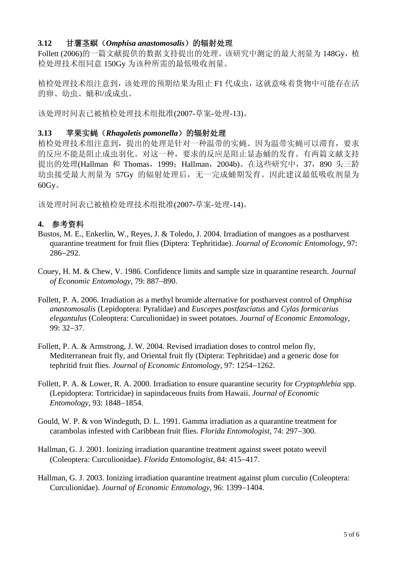# **3.12** 甘薯茎螟(*Omphisa anastomosalis*)的辐射处理

Follett (2006)的一篇文献提供的数据支持提出的处理。该研究中测定的最大剂量为 148Gy, 植 检处理技术组同意 150Gy 为该种所需的最低吸收剂量。

植检处理技术组注意到,该处理的预期结果为阻止 F1 代成虫,这就意味着货物中可能存在活 的卵、幼虫、蛹和/或成虫。

该处理时间表已被植检处理技术组批准(2007-草案-处理-13)。

# **3.13** 苹果实蝇(*Rhagoletis pomonella*)的辐射处理

植检处理技术组注意到,提出的处理是针对一种温带的实蝇。因为温带实蝇可以滞育,要求 的反应不能是阻止成虫羽化。对这一种,要求的反应是阻止显态蛹的发育。有两篇文献支持 提出的处理(Hallman 和 Thomas, 1999; Hallman, 2004b)。在这些研究中, 37, 890 头三龄 幼虫接受最大剂量为 57Gy 的辐射处理后,无一完成蛹期发育。因此建议最低吸收剂量为 60Gy。

该处理时间表已被植检处理技术组批准(2007-草案-处理-14)。

# **4.** 参考资料

- Bustos, M. E., Enkerlin, W., Reyes, J. & Toledo, J. 2004. Irradiation of mangoes as a postharvest quarantine treatment for fruit flies (Diptera: Tephritidae). *Journal of Economic Entomology*, 97: 286−292.
- Couey, H. M. & Chew, V. 1986. Confidence limits and sample size in quarantine research. *Journal of Economic Entomology*, 79: 887−890.
- Follett, P. A. 2006. Irradiation as a methyl bromide alternative for postharvest control of *Omphisa anastomosalis* (Lepidoptera: Pyralidae) and *Euscepes postfasciatus* and *Cylas formicarius elegantulus* (Coleoptera: Curculionidae) in sweet potatoes. *Journal of Economic Entomology*, 99: 32−37.
- Follett, P. A. & Armstrong, J. W. 2004. Revised irradiation doses to control melon fly, Mediterranean fruit fly, and Oriental fruit fly (Diptera: Tephritidae) and a generic dose for tephritid fruit flies. *Journal of Economic Entomology*, 97: 1254−1262.
- Follett, P. A. & Lower, R. A. 2000. Irradiation to ensure quarantine security for *Cryptophlebia* spp. (Lepidoptera: Tortricidae) in sapindaceous fruits from Hawaii. *Journal of Economic Entomology*, 93: 1848−1854.
- Gould, W. P. & von Windeguth, D. L. 1991. Gamma irradiation as a quarantine treatment for carambolas infested with Caribbean fruit flies. *Florida Entomologist*, 74: 297−300.
- Hallman, G. J. 2001. Ionizing irradiation quarantine treatment against sweet potato weevil (Coleoptera: Curculionidae). *Florida Entomologist*, 84: 415−417.
- Hallman, G. J. 2003. Ionizing irradiation quarantine treatment against plum curculio (Coleoptera: Curculionidae). *Journal of Economic Entomology*, 96: 1399−1404.